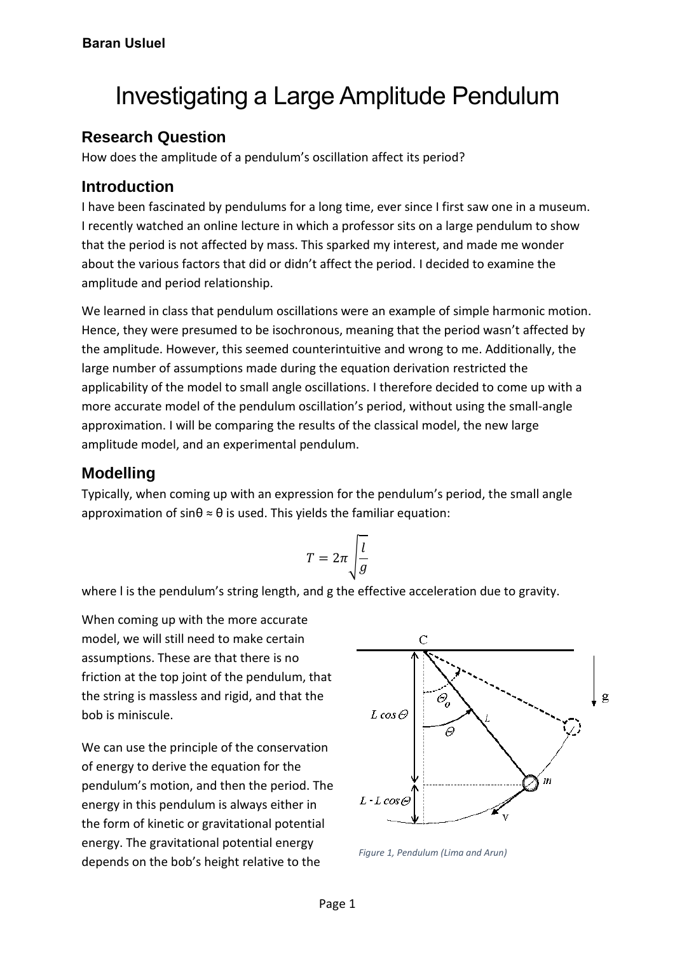# Investigating a Large Amplitude Pendulum

#### **Research Question**

How does the amplitude of a pendulum's oscillation affect its period?

#### **Introduction**

I have been fascinated by pendulums for a long time, ever since I first saw one in a museum. I recently watched an online lecture in which a professor sits on a large pendulum to show that the period is not affected by mass. This sparked my interest, and made me wonder about the various factors that did or didn't affect the period. I decided to examine the amplitude and period relationship.

We learned in class that pendulum oscillations were an example of simple harmonic motion. Hence, they were presumed to be isochronous, meaning that the period wasn't affected by the amplitude. However, this seemed counterintuitive and wrong to me. Additionally, the large number of assumptions made during the equation derivation restricted the applicability of the model to small angle oscillations. I therefore decided to come up with a more accurate model of the pendulum oscillation's period, without using the small-angle approximation. I will be comparing the results of the classical model, the new large amplitude model, and an experimental pendulum.

#### **Modelling**

Typically, when coming up with an expression for the pendulum's period, the small angle approximation of sin $\theta \approx \theta$  is used. This yields the familiar equation:

$$
T = 2\pi \sqrt{\frac{l}{g}}
$$

where l is the pendulum's string length, and g the effective acceleration due to gravity.

When coming up with the more accurate model, we will still need to make certain assumptions. These are that there is no friction at the top joint of the pendulum, that the string is massless and rigid, and that the bob is miniscule.

We can use the principle of the conservation of energy to derive the equation for the pendulum's motion, and then the period. The energy in this pendulum is always either in the form of kinetic or gravitational potential energy. The gravitational potential energy depends on the bob's height relative to the



*Figure 1, Pendulum (Lima and Arun)*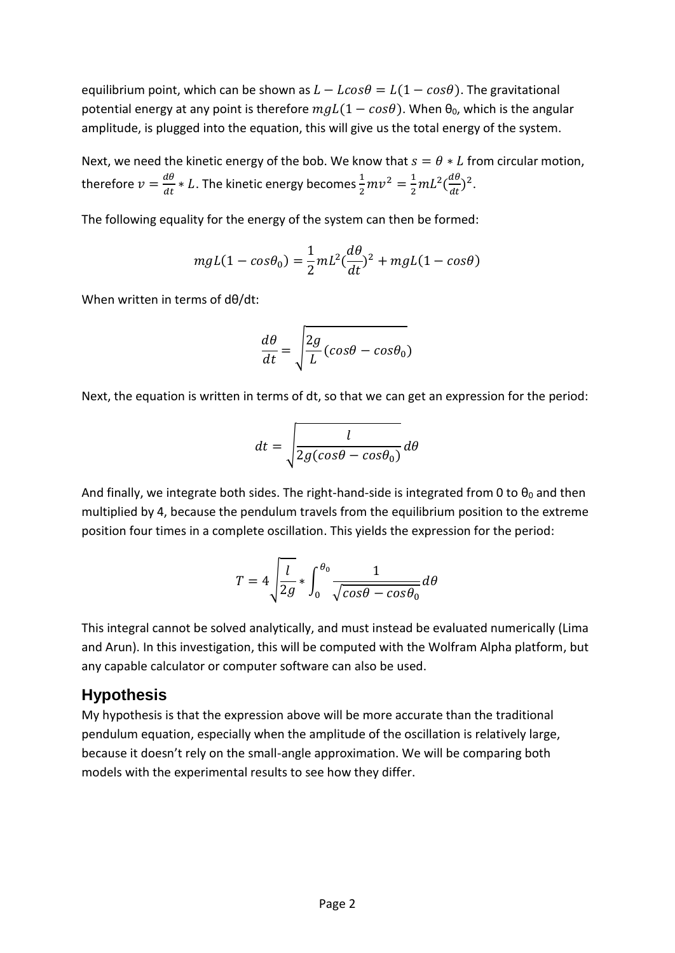equilibrium point, which can be shown as  $L - L\cos\theta = L(1 - \cos\theta)$ . The gravitational potential energy at any point is therefore  $mgL(1 - cos\theta)$ . When  $\theta_0$ , which is the angular amplitude, is plugged into the equation, this will give us the total energy of the system.

Next, we need the kinetic energy of the bob. We know that  $s = \theta * L$  from circular motion, therefore  $v = \frac{d\theta}{dt}$  $\frac{d\theta}{dt} * L$ . The kinetic energy becomes  $\frac{1}{2}mv^2 = \frac{1}{2}$  $rac{1}{2}mL^2\left(\frac{d\theta}{dt}\right)$  $\frac{d\theta}{dt}$ )<sup>2</sup>.

The following equality for the energy of the system can then be formed:

$$
mgL(1 - \cos\theta_0) = \frac{1}{2}mL^2\left(\frac{d\theta}{dt}\right)^2 + mgL(1 - \cos\theta)
$$

When written in terms of dθ/dt:

$$
\frac{d\theta}{dt} = \sqrt{\frac{2g}{L}(\cos\theta - \cos\theta_0)}
$$

Next, the equation is written in terms of dt, so that we can get an expression for the period:

$$
dt = \sqrt{\frac{l}{2g(cos\theta - cos\theta_0)}}d\theta
$$

And finally, we integrate both sides. The right-hand-side is integrated from 0 to  $\theta_0$  and then multiplied by 4, because the pendulum travels from the equilibrium position to the extreme position four times in a complete oscillation. This yields the expression for the period:

$$
T = 4 \sqrt{\frac{l}{2g}} * \int_0^{\theta_0} \frac{1}{\sqrt{\cos \theta - \cos \theta_0}} d\theta
$$

This integral cannot be solved analytically, and must instead be evaluated numerically (Lima and Arun). In this investigation, this will be computed with the Wolfram Alpha platform, but any capable calculator or computer software can also be used.

#### **Hypothesis**

My hypothesis is that the expression above will be more accurate than the traditional pendulum equation, especially when the amplitude of the oscillation is relatively large, because it doesn't rely on the small-angle approximation. We will be comparing both models with the experimental results to see how they differ.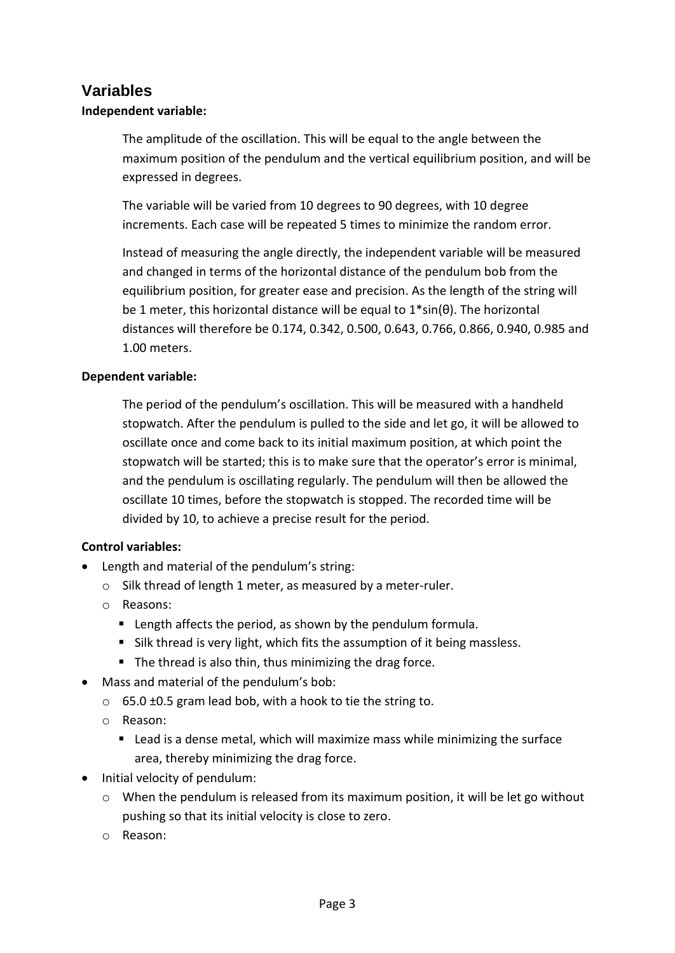#### **Variables**

#### **Independent variable:**

The amplitude of the oscillation. This will be equal to the angle between the maximum position of the pendulum and the vertical equilibrium position, and will be expressed in degrees.

The variable will be varied from 10 degrees to 90 degrees, with 10 degree increments. Each case will be repeated 5 times to minimize the random error.

Instead of measuring the angle directly, the independent variable will be measured and changed in terms of the horizontal distance of the pendulum bob from the equilibrium position, for greater ease and precision. As the length of the string will be 1 meter, this horizontal distance will be equal to 1\*sin(θ). The horizontal distances will therefore be 0.174, 0.342, 0.500, 0.643, 0.766, 0.866, 0.940, 0.985 and 1.00 meters.

#### **Dependent variable:**

The period of the pendulum's oscillation. This will be measured with a handheld stopwatch. After the pendulum is pulled to the side and let go, it will be allowed to oscillate once and come back to its initial maximum position, at which point the stopwatch will be started; this is to make sure that the operator's error is minimal, and the pendulum is oscillating regularly. The pendulum will then be allowed the oscillate 10 times, before the stopwatch is stopped. The recorded time will be divided by 10, to achieve a precise result for the period.

#### **Control variables:**

- Length and material of the pendulum's string:
	- o Silk thread of length 1 meter, as measured by a meter-ruler.
	- o Reasons:
		- Length affects the period, as shown by the pendulum formula.
		- Silk thread is very light, which fits the assumption of it being massless.
		- The thread is also thin, thus minimizing the drag force.
- Mass and material of the pendulum's bob:
	- o 65.0 ±0.5 gram lead bob, with a hook to tie the string to.
	- o Reason:
		- Lead is a dense metal, which will maximize mass while minimizing the surface area, thereby minimizing the drag force.
- Initial velocity of pendulum:
	- $\circ$  When the pendulum is released from its maximum position, it will be let go without pushing so that its initial velocity is close to zero.
	- o Reason: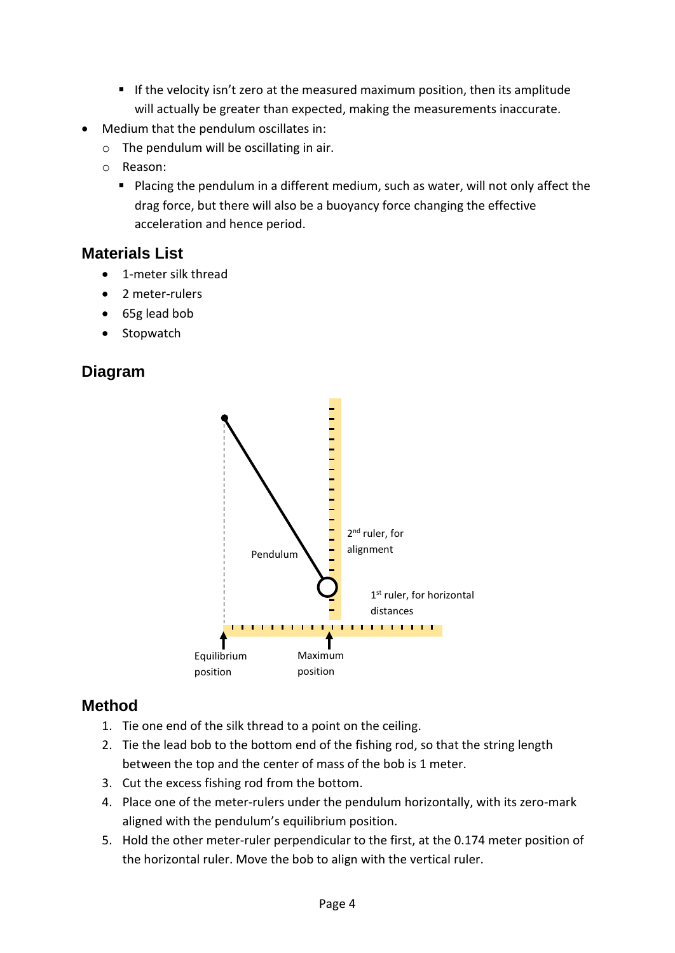- If the velocity isn't zero at the measured maximum position, then its amplitude will actually be greater than expected, making the measurements inaccurate.
- Medium that the pendulum oscillates in:
	- $\circ$  The pendulum will be oscillating in air.
	- o Reason:
		- Placing the pendulum in a different medium, such as water, will not only affect the drag force, but there will also be a buoyancy force changing the effective acceleration and hence period.

# **Materials List**

- 1-meter silk thread
- 2 meter-rulers
- 65g lead bob
- Stopwatch

# **Diagram**



# **Method**

- 1. Tie one end of the silk thread to a point on the ceiling.
- 2. Tie the lead bob to the bottom end of the fishing rod, so that the string length between the top and the center of mass of the bob is 1 meter.
- 3. Cut the excess fishing rod from the bottom.
- 4. Place one of the meter-rulers under the pendulum horizontally, with its zero-mark aligned with the pendulum's equilibrium position.
- 5. Hold the other meter-ruler perpendicular to the first, at the 0.174 meter position of the horizontal ruler. Move the bob to align with the vertical ruler.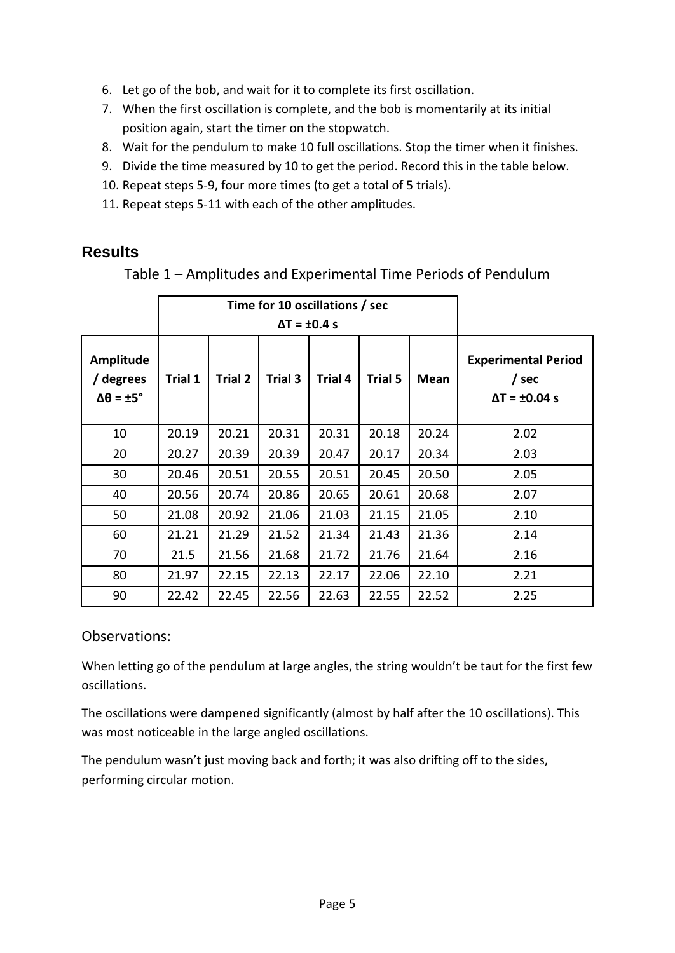- 6. Let go of the bob, and wait for it to complete its first oscillation.
- 7. When the first oscillation is complete, and the bob is momentarily at its initial position again, start the timer on the stopwatch.
- 8. Wait for the pendulum to make 10 full oscillations. Stop the timer when it finishes.
- 9. Divide the time measured by 10 to get the period. Record this in the table below.
- 10. Repeat steps 5-9, four more times (to get a total of 5 trials).
- 11. Repeat steps 5-11 with each of the other amplitudes.

## **Results**

|                                                          |         | Time for 10 oscillations / sec |         |         |         |       |                                                                |
|----------------------------------------------------------|---------|--------------------------------|---------|---------|---------|-------|----------------------------------------------------------------|
|                                                          |         |                                |         |         |         |       |                                                                |
| Amplitude<br>/ degrees<br>$\Delta\theta = \pm 5^{\circ}$ | Trial 1 | Trial 2                        | Trial 3 | Trial 4 | Trial 5 | Mean  | <b>Experimental Period</b><br>/ sec<br>$\Delta T = \pm 0.04$ s |
| 10                                                       | 20.19   | 20.21                          | 20.31   | 20.31   | 20.18   | 20.24 | 2.02                                                           |
| 20                                                       | 20.27   | 20.39                          | 20.39   | 20.47   | 20.17   | 20.34 | 2.03                                                           |
| 30                                                       | 20.46   | 20.51                          | 20.55   | 20.51   | 20.45   | 20.50 | 2.05                                                           |
| 40                                                       | 20.56   | 20.74                          | 20.86   | 20.65   | 20.61   | 20.68 | 2.07                                                           |
| 50                                                       | 21.08   | 20.92                          | 21.06   | 21.03   | 21.15   | 21.05 | 2.10                                                           |
| 60                                                       | 21.21   | 21.29                          | 21.52   | 21.34   | 21.43   | 21.36 | 2.14                                                           |
| 70                                                       | 21.5    | 21.56                          | 21.68   | 21.72   | 21.76   | 21.64 | 2.16                                                           |
| 80                                                       | 21.97   | 22.15                          | 22.13   | 22.17   | 22.06   | 22.10 | 2.21                                                           |
| 90                                                       | 22.42   | 22.45                          | 22.56   | 22.63   | 22.55   | 22.52 | 2.25                                                           |

Table 1 – Amplitudes and Experimental Time Periods of Pendulum

#### Observations:

When letting go of the pendulum at large angles, the string wouldn't be taut for the first few oscillations.

The oscillations were dampened significantly (almost by half after the 10 oscillations). This was most noticeable in the large angled oscillations.

The pendulum wasn't just moving back and forth; it was also drifting off to the sides, performing circular motion.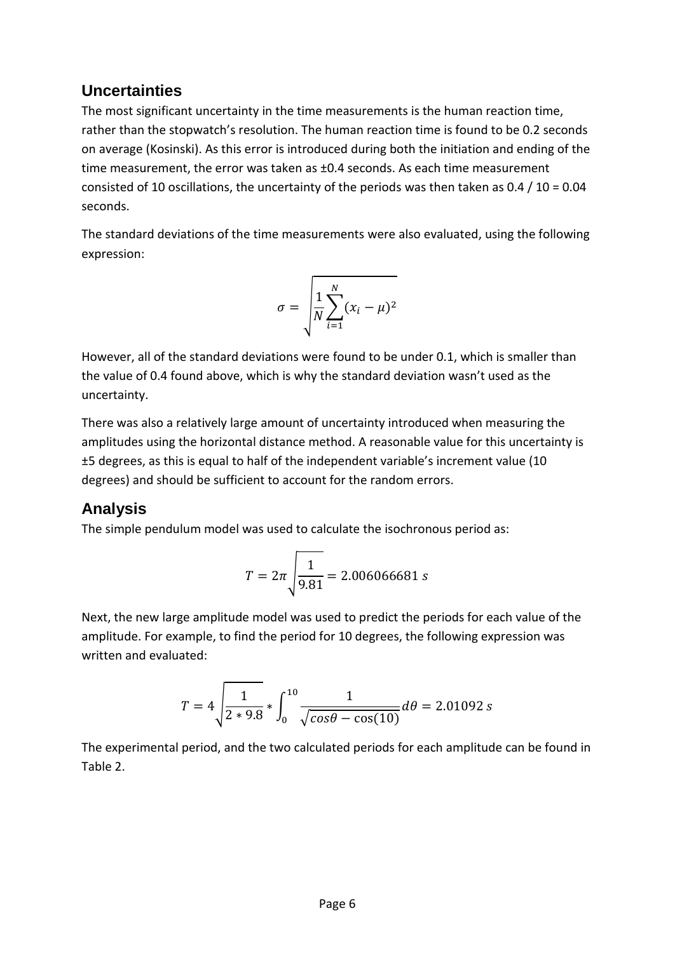## **Uncertainties**

The most significant uncertainty in the time measurements is the human reaction time, rather than the stopwatch's resolution. The human reaction time is found to be 0.2 seconds on average (Kosinski). As this error is introduced during both the initiation and ending of the time measurement, the error was taken as ±0.4 seconds. As each time measurement consisted of 10 oscillations, the uncertainty of the periods was then taken as  $0.4 / 10 = 0.04$ seconds.

The standard deviations of the time measurements were also evaluated, using the following expression:

$$
\sigma = \sqrt{\frac{1}{N} \sum_{i=1}^{N} (x_i - \mu)^2}
$$

However, all of the standard deviations were found to be under 0.1, which is smaller than the value of 0.4 found above, which is why the standard deviation wasn't used as the uncertainty.

There was also a relatively large amount of uncertainty introduced when measuring the amplitudes using the horizontal distance method. A reasonable value for this uncertainty is ±5 degrees, as this is equal to half of the independent variable's increment value (10 degrees) and should be sufficient to account for the random errors.

# **Analysis**

The simple pendulum model was used to calculate the isochronous period as:

$$
T = 2\pi \sqrt{\frac{1}{9.81}} = 2.006066681 s
$$

Next, the new large amplitude model was used to predict the periods for each value of the amplitude. For example, to find the period for 10 degrees, the following expression was written and evaluated:

$$
T = 4 \sqrt{\frac{1}{2 * 9.8}} * \int_0^{10} \frac{1}{\sqrt{\cos \theta - \cos(10)}} d\theta = 2.01092 s
$$

The experimental period, and the two calculated periods for each amplitude can be found in Table 2.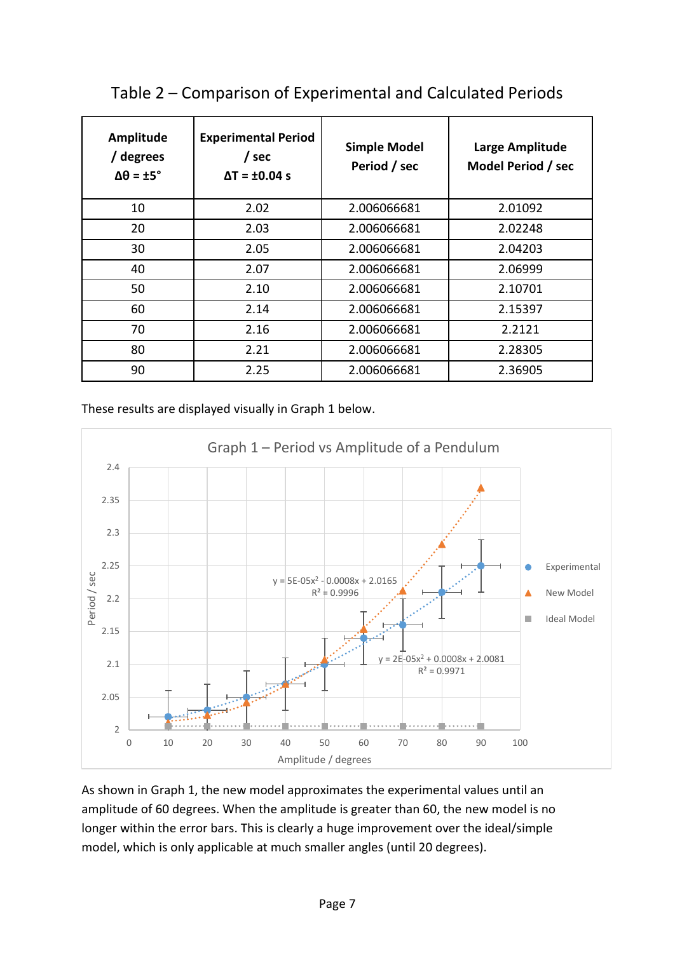| <b>Amplitude</b><br>/ degrees<br>$\Delta\theta = \pm 5^{\circ}$ | <b>Experimental Period</b><br>/ sec<br>$\Delta T = \pm 0.04$ s | <b>Simple Model</b><br>Period / sec | Large Amplitude<br>Model Period / sec |
|-----------------------------------------------------------------|----------------------------------------------------------------|-------------------------------------|---------------------------------------|
| 10                                                              | 2.02                                                           | 2.006066681                         | 2.01092                               |
| 20                                                              | 2.03                                                           | 2.006066681                         | 2.02248                               |
| 30                                                              | 2.05                                                           | 2.006066681                         | 2.04203                               |
| 40                                                              | 2.07                                                           | 2.006066681                         | 2.06999                               |
| 50                                                              | 2.10                                                           | 2.006066681                         | 2.10701                               |
| 60                                                              | 2.14                                                           | 2.006066681                         | 2.15397                               |
| 70                                                              | 2.16                                                           | 2.006066681                         | 2.2121                                |
| 80                                                              | 2.21                                                           | 2.006066681                         | 2.28305                               |
| 90                                                              | 2.25                                                           | 2.006066681                         | 2.36905                               |

# Table 2 – Comparison of Experimental and Calculated Periods

These results are displayed visually in Graph 1 below.



As shown in Graph 1, the new model approximates the experimental values until an amplitude of 60 degrees. When the amplitude is greater than 60, the new model is no longer within the error bars. This is clearly a huge improvement over the ideal/simple model, which is only applicable at much smaller angles (until 20 degrees).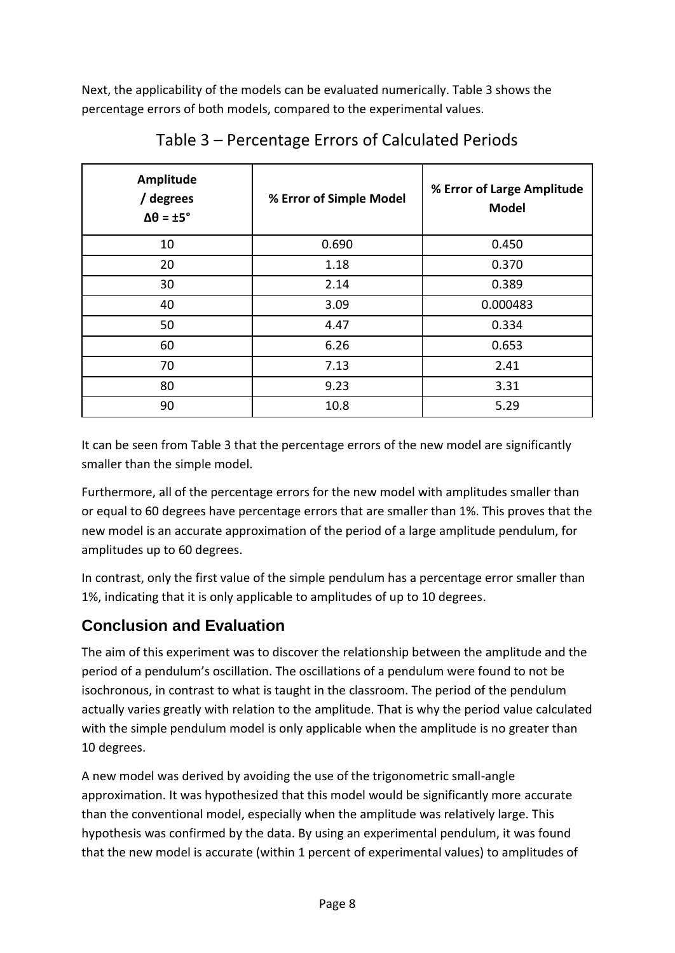Next, the applicability of the models can be evaluated numerically. Table 3 shows the percentage errors of both models, compared to the experimental values.

| Amplitude<br>/ degrees<br>$\Delta\theta = \pm 5^{\circ}$ | % Error of Simple Model | % Error of Large Amplitude<br><b>Model</b> |
|----------------------------------------------------------|-------------------------|--------------------------------------------|
| 10                                                       | 0.690                   | 0.450                                      |
| 20                                                       | 1.18                    | 0.370                                      |
| 30                                                       | 2.14                    | 0.389                                      |
| 40                                                       | 3.09                    | 0.000483                                   |
| 50                                                       | 4.47                    | 0.334                                      |
| 60                                                       | 6.26                    | 0.653                                      |
| 70                                                       | 7.13                    | 2.41                                       |
| 80                                                       | 9.23                    | 3.31                                       |
| 90                                                       | 10.8                    | 5.29                                       |

Table 3 – Percentage Errors of Calculated Periods

It can be seen from Table 3 that the percentage errors of the new model are significantly smaller than the simple model.

Furthermore, all of the percentage errors for the new model with amplitudes smaller than or equal to 60 degrees have percentage errors that are smaller than 1%. This proves that the new model is an accurate approximation of the period of a large amplitude pendulum, for amplitudes up to 60 degrees.

In contrast, only the first value of the simple pendulum has a percentage error smaller than 1%, indicating that it is only applicable to amplitudes of up to 10 degrees.

# **Conclusion and Evaluation**

The aim of this experiment was to discover the relationship between the amplitude and the period of a pendulum's oscillation. The oscillations of a pendulum were found to not be isochronous, in contrast to what is taught in the classroom. The period of the pendulum actually varies greatly with relation to the amplitude. That is why the period value calculated with the simple pendulum model is only applicable when the amplitude is no greater than 10 degrees.

A new model was derived by avoiding the use of the trigonometric small-angle approximation. It was hypothesized that this model would be significantly more accurate than the conventional model, especially when the amplitude was relatively large. This hypothesis was confirmed by the data. By using an experimental pendulum, it was found that the new model is accurate (within 1 percent of experimental values) to amplitudes of